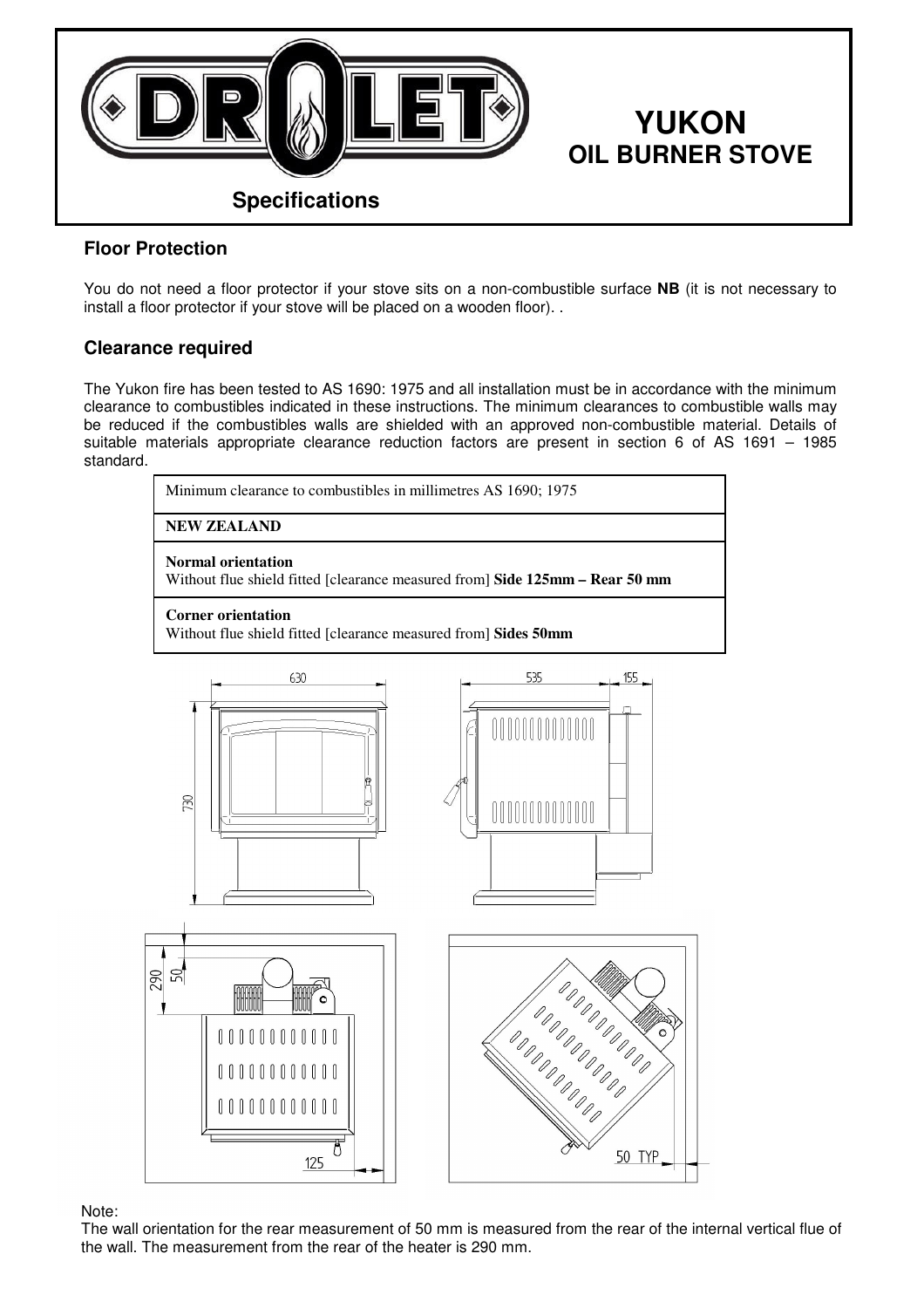

## Floor Protection

You do not need a floor protector if your stove sits on a non-combustible surface NB (it is not necessary to install a floor protector if your stove will be placed on a wooden floor). .

## Clearance required

The Yukon fire has been tested to AS 1690: 1975 and all installation must be in accordance with the minimum clearance to combustibles indicated in these instructions. The minimum clearances to combustible walls may be reduced if the combustibles walls are shielded with an approved non-combustible material. Details of suitable materials appropriate clearance reduction factors are present in section 6 of AS 1691 – 1985 standard.





Note:

The wall orientation for the rear measurement of 50 mm is measured from the rear of the internal vertical flue of the wall. The measurement from the rear of the heater is 290 mm.